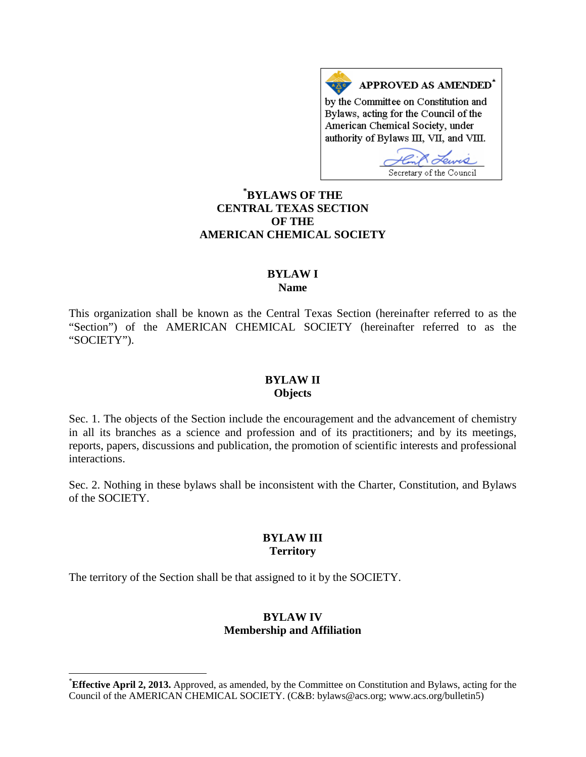APPROVED AS AMENDED\* by the Committee on Constitution and Bylaws, acting for the Council of the American Chemical Society, under authority of Bylaws III, VII, and VIII.

Secretary of the Council

## **[\\*](#page-0-0) BYLAWS OF THE CENTRAL TEXAS SECTION OF THE AMERICAN CHEMICAL SOCIETY**

#### **BYLAW I Name**

This organization shall be known as the Central Texas Section (hereinafter referred to as the "Section") of the AMERICAN CHEMICAL SOCIETY (hereinafter referred to as the "SOCIETY").

#### **BYLAW II Objects**

Sec. 1. The objects of the Section include the encouragement and the advancement of chemistry in all its branches as a science and profession and of its practitioners; and by its meetings, reports, papers, discussions and publication, the promotion of scientific interests and professional interactions.

Sec. 2. Nothing in these bylaws shall be inconsistent with the Charter, Constitution, and Bylaws of the SOCIETY.

## **BYLAW III Territory**

The territory of the Section shall be that assigned to it by the SOCIETY.

## **BYLAW IV Membership and Affiliation**

<span id="page-0-0"></span> <sup>\*</sup> **Effective April 2, 2013.** Approved, as amended, by the Committee on Constitution and Bylaws, acting for the Council of the AMERICAN CHEMICAL SOCIETY. (C&B: bylaws@acs.org; www.acs.org/bulletin5)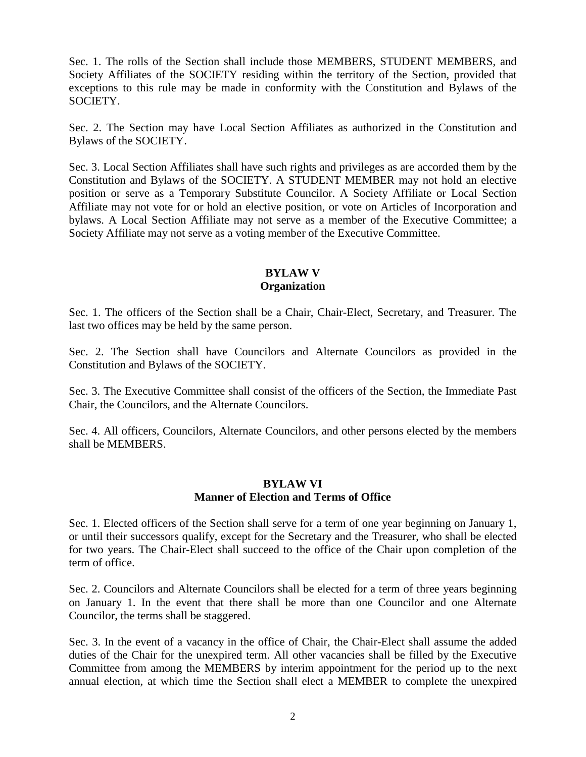Sec. 1. The rolls of the Section shall include those MEMBERS, STUDENT MEMBERS, and Society Affiliates of the SOCIETY residing within the territory of the Section, provided that exceptions to this rule may be made in conformity with the Constitution and Bylaws of the SOCIETY.

Sec. 2. The Section may have Local Section Affiliates as authorized in the Constitution and Bylaws of the SOCIETY.

Sec. 3. Local Section Affiliates shall have such rights and privileges as are accorded them by the Constitution and Bylaws of the SOCIETY. A STUDENT MEMBER may not hold an elective position or serve as a Temporary Substitute Councilor. A Society Affiliate or Local Section Affiliate may not vote for or hold an elective position, or vote on Articles of Incorporation and bylaws. A Local Section Affiliate may not serve as a member of the Executive Committee; a Society Affiliate may not serve as a voting member of the Executive Committee.

# **BYLAW V Organization**

Sec. 1. The officers of the Section shall be a Chair, Chair-Elect, Secretary, and Treasurer. The last two offices may be held by the same person.

Sec. 2. The Section shall have Councilors and Alternate Councilors as provided in the Constitution and Bylaws of the SOCIETY.

Sec. 3. The Executive Committee shall consist of the officers of the Section, the Immediate Past Chair, the Councilors, and the Alternate Councilors.

Sec. 4. All officers, Councilors, Alternate Councilors, and other persons elected by the members shall be MEMBERS.

#### **BYLAW VI Manner of Election and Terms of Office**

Sec. 1. Elected officers of the Section shall serve for a term of one year beginning on January 1, or until their successors qualify, except for the Secretary and the Treasurer, who shall be elected for two years. The Chair-Elect shall succeed to the office of the Chair upon completion of the term of office.

Sec. 2. Councilors and Alternate Councilors shall be elected for a term of three years beginning on January 1. In the event that there shall be more than one Councilor and one Alternate Councilor, the terms shall be staggered.

Sec. 3. In the event of a vacancy in the office of Chair, the Chair-Elect shall assume the added duties of the Chair for the unexpired term. All other vacancies shall be filled by the Executive Committee from among the MEMBERS by interim appointment for the period up to the next annual election, at which time the Section shall elect a MEMBER to complete the unexpired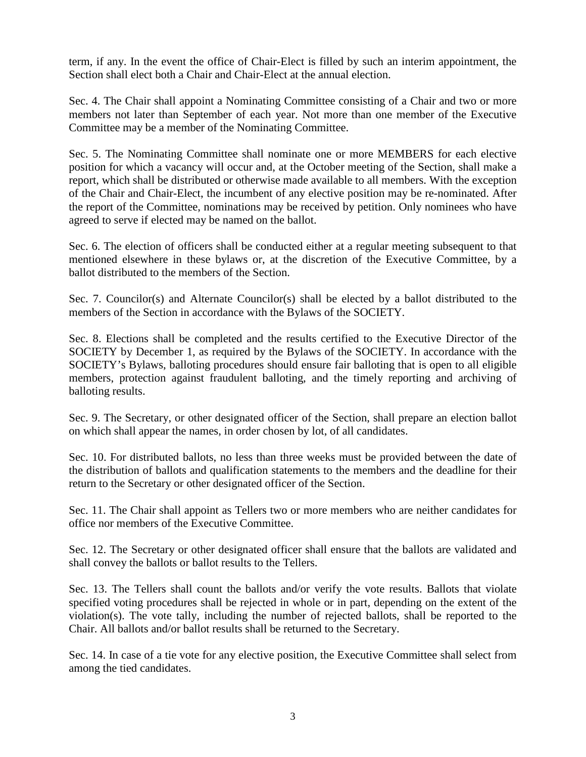term, if any. In the event the office of Chair-Elect is filled by such an interim appointment, the Section shall elect both a Chair and Chair-Elect at the annual election.

Sec. 4. The Chair shall appoint a Nominating Committee consisting of a Chair and two or more members not later than September of each year. Not more than one member of the Executive Committee may be a member of the Nominating Committee.

Sec. 5. The Nominating Committee shall nominate one or more MEMBERS for each elective position for which a vacancy will occur and, at the October meeting of the Section, shall make a report, which shall be distributed or otherwise made available to all members. With the exception of the Chair and Chair-Elect, the incumbent of any elective position may be re-nominated. After the report of the Committee, nominations may be received by petition. Only nominees who have agreed to serve if elected may be named on the ballot.

Sec. 6. The election of officers shall be conducted either at a regular meeting subsequent to that mentioned elsewhere in these bylaws or, at the discretion of the Executive Committee, by a ballot distributed to the members of the Section.

Sec. 7. Councilor(s) and Alternate Councilor(s) shall be elected by a ballot distributed to the members of the Section in accordance with the Bylaws of the SOCIETY.

Sec. 8. Elections shall be completed and the results certified to the Executive Director of the SOCIETY by December 1, as required by the Bylaws of the SOCIETY. In accordance with the SOCIETY's Bylaws, balloting procedures should ensure fair balloting that is open to all eligible members, protection against fraudulent balloting, and the timely reporting and archiving of balloting results.

Sec. 9. The Secretary, or other designated officer of the Section, shall prepare an election ballot on which shall appear the names, in order chosen by lot, of all candidates.

Sec. 10. For distributed ballots, no less than three weeks must be provided between the date of the distribution of ballots and qualification statements to the members and the deadline for their return to the Secretary or other designated officer of the Section.

Sec. 11. The Chair shall appoint as Tellers two or more members who are neither candidates for office nor members of the Executive Committee.

Sec. 12. The Secretary or other designated officer shall ensure that the ballots are validated and shall convey the ballots or ballot results to the Tellers.

Sec. 13. The Tellers shall count the ballots and/or verify the vote results. Ballots that violate specified voting procedures shall be rejected in whole or in part, depending on the extent of the violation(s). The vote tally, including the number of rejected ballots, shall be reported to the Chair. All ballots and/or ballot results shall be returned to the Secretary.

Sec. 14. In case of a tie vote for any elective position, the Executive Committee shall select from among the tied candidates.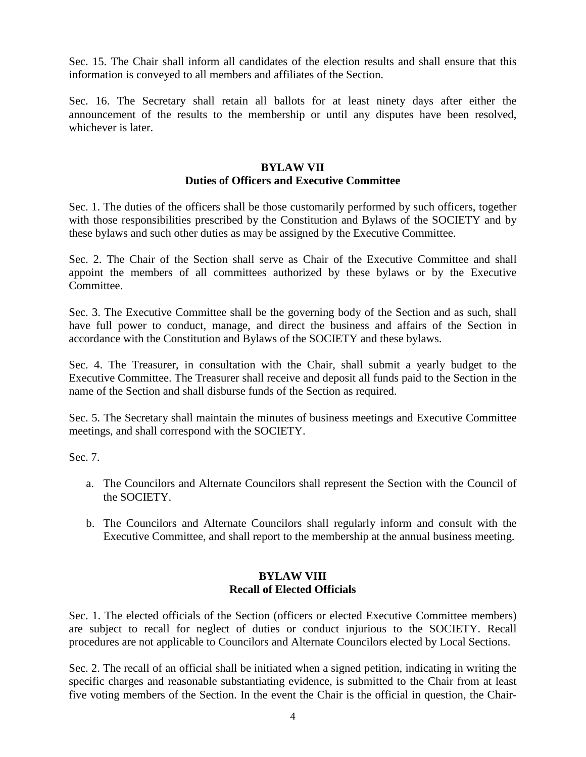Sec. 15. The Chair shall inform all candidates of the election results and shall ensure that this information is conveyed to all members and affiliates of the Section.

Sec. 16. The Secretary shall retain all ballots for at least ninety days after either the announcement of the results to the membership or until any disputes have been resolved, whichever is later.

## **BYLAW VII Duties of Officers and Executive Committee**

Sec. 1. The duties of the officers shall be those customarily performed by such officers, together with those responsibilities prescribed by the Constitution and Bylaws of the SOCIETY and by these bylaws and such other duties as may be assigned by the Executive Committee.

Sec. 2. The Chair of the Section shall serve as Chair of the Executive Committee and shall appoint the members of all committees authorized by these bylaws or by the Executive Committee.

Sec. 3. The Executive Committee shall be the governing body of the Section and as such, shall have full power to conduct, manage, and direct the business and affairs of the Section in accordance with the Constitution and Bylaws of the SOCIETY and these bylaws.

Sec. 4. The Treasurer, in consultation with the Chair, shall submit a yearly budget to the Executive Committee. The Treasurer shall receive and deposit all funds paid to the Section in the name of the Section and shall disburse funds of the Section as required.

Sec. 5. The Secretary shall maintain the minutes of business meetings and Executive Committee meetings, and shall correspond with the SOCIETY.

Sec. 7.

- a. The Councilors and Alternate Councilors shall represent the Section with the Council of the SOCIETY.
- b. The Councilors and Alternate Councilors shall regularly inform and consult with the Executive Committee, and shall report to the membership at the annual business meeting.

## **BYLAW VIII Recall of Elected Officials**

Sec. 1. The elected officials of the Section (officers or elected Executive Committee members) are subject to recall for neglect of duties or conduct injurious to the SOCIETY. Recall procedures are not applicable to Councilors and Alternate Councilors elected by Local Sections.

Sec. 2. The recall of an official shall be initiated when a signed petition, indicating in writing the specific charges and reasonable substantiating evidence, is submitted to the Chair from at least five voting members of the Section. In the event the Chair is the official in question, the Chair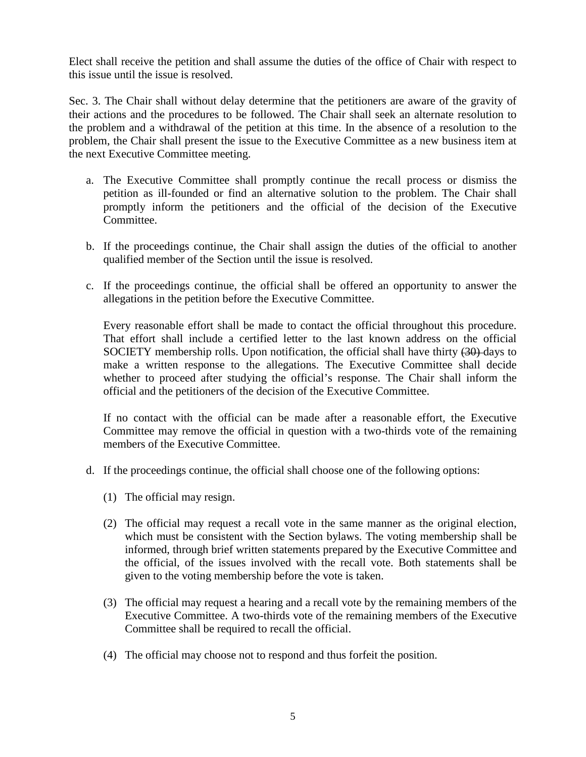Elect shall receive the petition and shall assume the duties of the office of Chair with respect to this issue until the issue is resolved.

Sec. 3. The Chair shall without delay determine that the petitioners are aware of the gravity of their actions and the procedures to be followed. The Chair shall seek an alternate resolution to the problem and a withdrawal of the petition at this time. In the absence of a resolution to the problem, the Chair shall present the issue to the Executive Committee as a new business item at the next Executive Committee meeting.

- a. The Executive Committee shall promptly continue the recall process or dismiss the petition as ill-founded or find an alternative solution to the problem. The Chair shall promptly inform the petitioners and the official of the decision of the Executive Committee.
- b. If the proceedings continue, the Chair shall assign the duties of the official to another qualified member of the Section until the issue is resolved.
- c. If the proceedings continue, the official shall be offered an opportunity to answer the allegations in the petition before the Executive Committee.

Every reasonable effort shall be made to contact the official throughout this procedure. That effort shall include a certified letter to the last known address on the official SOCIETY membership rolls. Upon notification, the official shall have thirty  $(30)$ -days to make a written response to the allegations. The Executive Committee shall decide whether to proceed after studying the official's response. The Chair shall inform the official and the petitioners of the decision of the Executive Committee.

If no contact with the official can be made after a reasonable effort, the Executive Committee may remove the official in question with a two-thirds vote of the remaining members of the Executive Committee.

- d. If the proceedings continue, the official shall choose one of the following options:
	- (1) The official may resign.
	- (2) The official may request a recall vote in the same manner as the original election, which must be consistent with the Section bylaws. The voting membership shall be informed, through brief written statements prepared by the Executive Committee and the official, of the issues involved with the recall vote. Both statements shall be given to the voting membership before the vote is taken.
	- (3) The official may request a hearing and a recall vote by the remaining members of the Executive Committee. A two-thirds vote of the remaining members of the Executive Committee shall be required to recall the official.
	- (4) The official may choose not to respond and thus forfeit the position.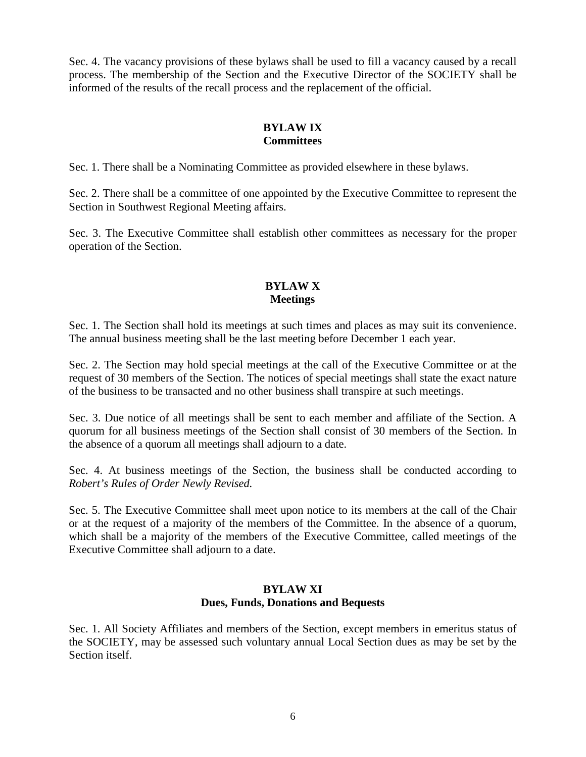Sec. 4. The vacancy provisions of these bylaws shall be used to fill a vacancy caused by a recall process. The membership of the Section and the Executive Director of the SOCIETY shall be informed of the results of the recall process and the replacement of the official.

# **BYLAW IX Committees**

Sec. 1. There shall be a Nominating Committee as provided elsewhere in these bylaws.

Sec. 2. There shall be a committee of one appointed by the Executive Committee to represent the Section in Southwest Regional Meeting affairs.

Sec. 3. The Executive Committee shall establish other committees as necessary for the proper operation of the Section.

# **BYLAW X Meetings**

Sec. 1. The Section shall hold its meetings at such times and places as may suit its convenience. The annual business meeting shall be the last meeting before December 1 each year.

Sec. 2. The Section may hold special meetings at the call of the Executive Committee or at the request of 30 members of the Section. The notices of special meetings shall state the exact nature of the business to be transacted and no other business shall transpire at such meetings.

Sec. 3. Due notice of all meetings shall be sent to each member and affiliate of the Section. A quorum for all business meetings of the Section shall consist of 30 members of the Section. In the absence of a quorum all meetings shall adjourn to a date.

Sec. 4. At business meetings of the Section, the business shall be conducted according to *Robert's Rules of Order Newly Revised.*

Sec. 5. The Executive Committee shall meet upon notice to its members at the call of the Chair or at the request of a majority of the members of the Committee. In the absence of a quorum, which shall be a majority of the members of the Executive Committee, called meetings of the Executive Committee shall adjourn to a date.

#### **BYLAW XI Dues, Funds, Donations and Bequests**

Sec. 1. All Society Affiliates and members of the Section, except members in emeritus status of the SOCIETY, may be assessed such voluntary annual Local Section dues as may be set by the Section itself.